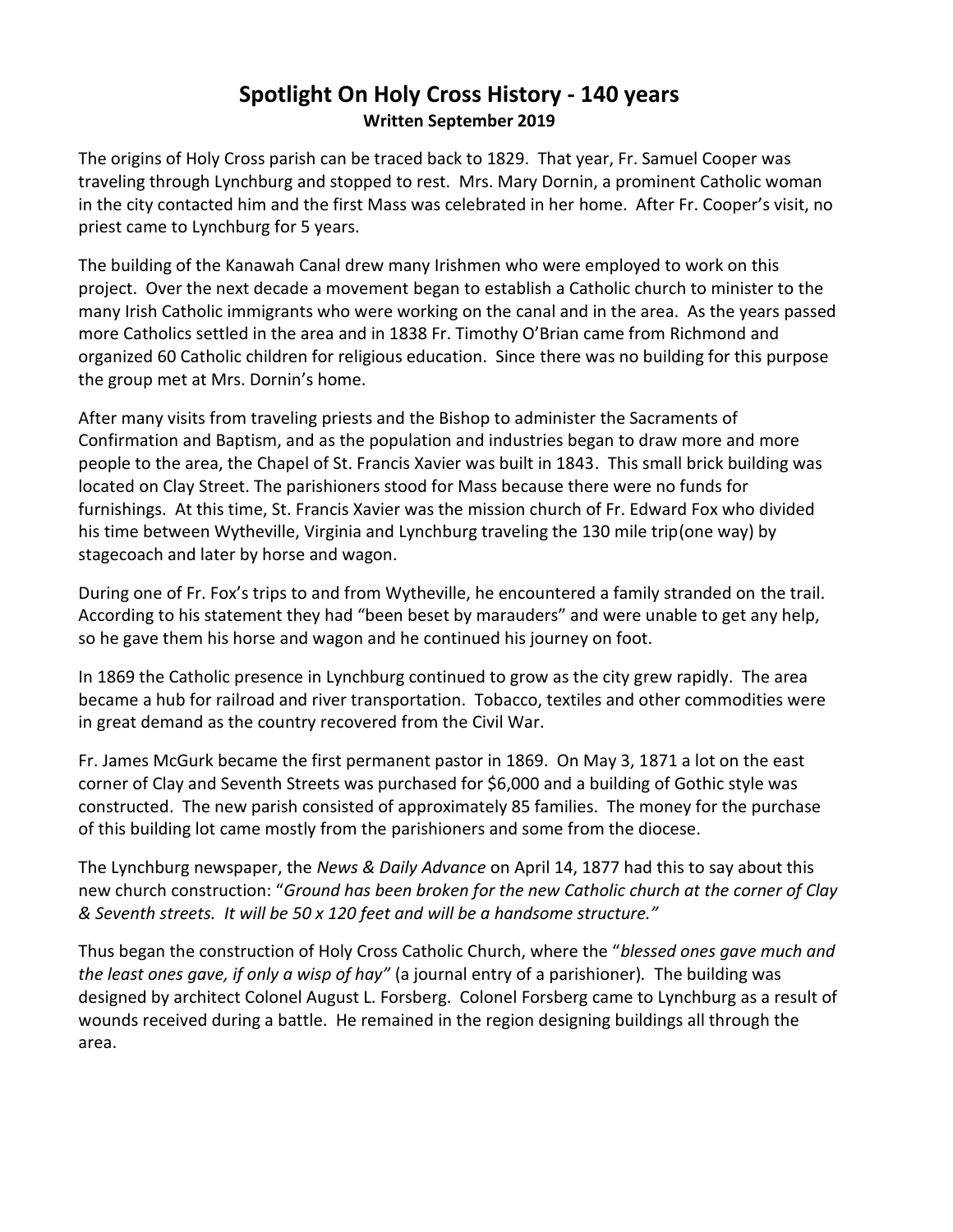## **Spotlight On Holy Cross History - 140 years Written September 2019**

The origins of Holy Cross parish can be traced back to 1829. That year, Fr. Samuel Cooper was traveling through Lynchburg and stopped to rest. Mrs. Mary Dornin, a prominent Catholic woman in the city contacted him and the first Mass was celebrated in her home. After Fr. Cooper's visit, no priest came to Lynchburg for 5 years.

The building of the Kanawah Canal drew many Irishmen who were employed to work on this project. Over the next decade a movement began to establish a Catholic church to minister to the many Irish Catholic immigrants who were working on the canal and in the area. As the years passed more Catholics settled in the area and in 1838 Fr. Timothy O'Brian came from Richmond and organized 60 Catholic children for religious education. Since there was no building for this purpose the group met at Mrs. Dornin's home.

After many visits from traveling priests and the Bishop to administer the Sacraments of Confirmation and Baptism, and as the population and industries began to draw more and more people to the area, the Chapel of St. Francis Xavier was built in 1843. This small brick building was located on Clay Street. The parishioners stood for Mass because there were no funds for furnishings. At this time, St. Francis Xavier was the mission church of Fr. Edward Fox who divided his time between Wytheville, Virginia and Lynchburg traveling the 130 mile trip(one way) by stagecoach and later by horse and wagon.

During one of Fr. Fox's trips to and from Wytheville, he encountered a family stranded on the trail. According to his statement they had "been beset by marauders" and were unable to get any help, so he gave them his horse and wagon and he continued his journey on foot.

In 1869 the Catholic presence in Lynchburg continued to grow as the city grew rapidly. The area became a hub for railroad and river transportation. Tobacco, textiles and other commodities were in great demand as the country recovered from the Civil War.

Fr. James McGurk became the first permanent pastor in 1869. On May 3, 1871 a lot on the east corner of Clay and Seventh Streets was purchased for \$6,000 and a building of Gothic style was constructed. The new parish consisted of approximately 85 families. The money for the purchase of this building lot came mostly from the parishioners and some from the diocese.

The Lynchburg newspaper, the *News & Daily Advance* on April 14, 1877 had this to say about this new church construction: "*Ground has been broken for the new Catholic church at the corner of Clay & Seventh streets. It will be 50 x 120 feet and will be a handsome structure."*

Thus began the construction of Holy Cross Catholic Church, where the "*blessed ones gave much and the least ones gave, if only a wisp of hay"* (a journal entry of a parishioner)*.* The building was designed by architect Colonel August L. Forsberg. Colonel Forsberg came to Lynchburg as a result of wounds received during a battle. He remained in the region designing buildings all through the area.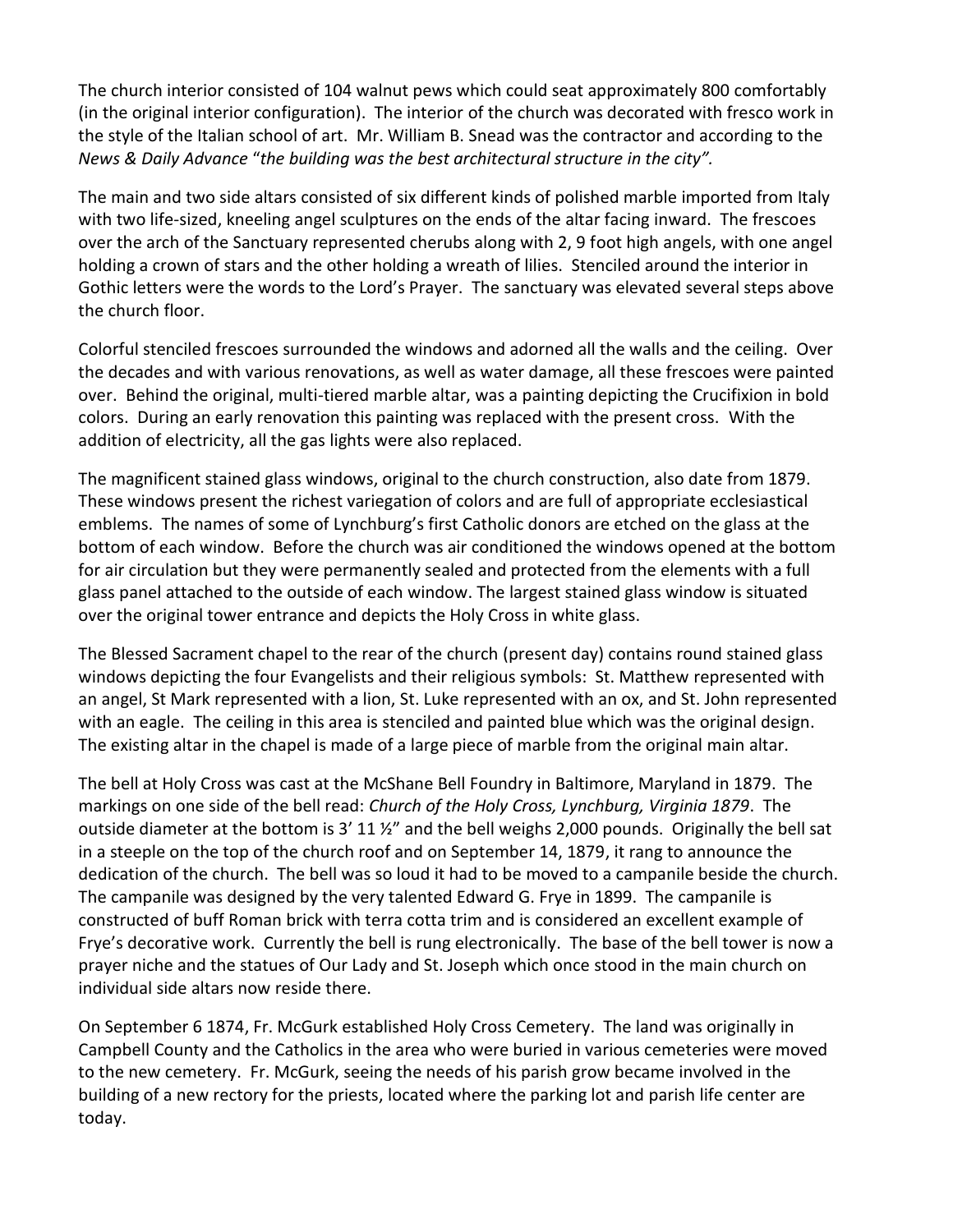The church interior consisted of 104 walnut pews which could seat approximately 800 comfortably (in the original interior configuration). The interior of the church was decorated with fresco work in the style of the Italian school of art. Mr. William B. Snead was the contractor and according to the *News & Daily Advance* "*the building was the best architectural structure in the city".*

The main and two side altars consisted of six different kinds of polished marble imported from Italy with two life-sized, kneeling angel sculptures on the ends of the altar facing inward. The frescoes over the arch of the Sanctuary represented cherubs along with 2, 9 foot high angels, with one angel holding a crown of stars and the other holding a wreath of lilies. Stenciled around the interior in Gothic letters were the words to the Lord's Prayer. The sanctuary was elevated several steps above the church floor.

Colorful stenciled frescoes surrounded the windows and adorned all the walls and the ceiling. Over the decades and with various renovations, as well as water damage, all these frescoes were painted over. Behind the original, multi-tiered marble altar, was a painting depicting the Crucifixion in bold colors. During an early renovation this painting was replaced with the present cross. With the addition of electricity, all the gas lights were also replaced.

The magnificent stained glass windows, original to the church construction, also date from 1879. These windows present the richest variegation of colors and are full of appropriate ecclesiastical emblems. The names of some of Lynchburg's first Catholic donors are etched on the glass at the bottom of each window. Before the church was air conditioned the windows opened at the bottom for air circulation but they were permanently sealed and protected from the elements with a full glass panel attached to the outside of each window. The largest stained glass window is situated over the original tower entrance and depicts the Holy Cross in white glass.

The Blessed Sacrament chapel to the rear of the church (present day) contains round stained glass windows depicting the four Evangelists and their religious symbols: St. Matthew represented with an angel, St Mark represented with a lion, St. Luke represented with an ox, and St. John represented with an eagle. The ceiling in this area is stenciled and painted blue which was the original design. The existing altar in the chapel is made of a large piece of marble from the original main altar.

The bell at Holy Cross was cast at the McShane Bell Foundry in Baltimore, Maryland in 1879. The markings on one side of the bell read: *Church of the Holy Cross, Lynchburg, Virginia 1879*. The outside diameter at the bottom is 3' 11 ½" and the bell weighs 2,000 pounds. Originally the bell sat in a steeple on the top of the church roof and on September 14, 1879, it rang to announce the dedication of the church. The bell was so loud it had to be moved to a campanile beside the church. The campanile was designed by the very talented Edward G. Frye in 1899. The campanile is constructed of buff Roman brick with terra cotta trim and is considered an excellent example of Frye's decorative work. Currently the bell is rung electronically. The base of the bell tower is now a prayer niche and the statues of Our Lady and St. Joseph which once stood in the main church on individual side altars now reside there.

On September 6 1874, Fr. McGurk established Holy Cross Cemetery. The land was originally in Campbell County and the Catholics in the area who were buried in various cemeteries were moved to the new cemetery. Fr. McGurk, seeing the needs of his parish grow became involved in the building of a new rectory for the priests, located where the parking lot and parish life center are today.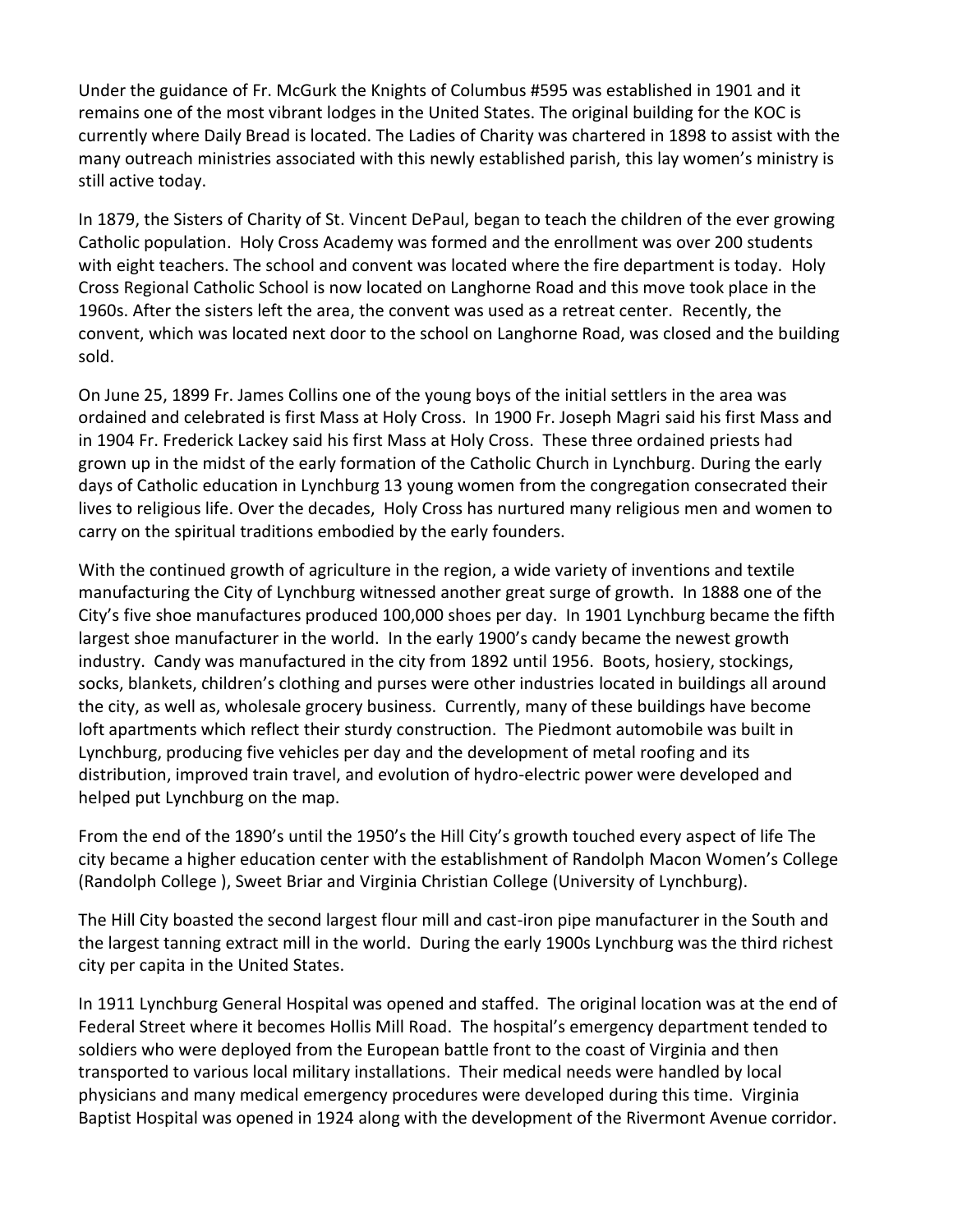Under the guidance of Fr. McGurk the Knights of Columbus #595 was established in 1901 and it remains one of the most vibrant lodges in the United States. The original building for the KOC is currently where Daily Bread is located. The Ladies of Charity was chartered in 1898 to assist with the many outreach ministries associated with this newly established parish, this lay women's ministry is still active today.

In 1879, the Sisters of Charity of St. Vincent DePaul, began to teach the children of the ever growing Catholic population. Holy Cross Academy was formed and the enrollment was over 200 students with eight teachers. The school and convent was located where the fire department is today. Holy Cross Regional Catholic School is now located on Langhorne Road and this move took place in the 1960s. After the sisters left the area, the convent was used as a retreat center. Recently, the convent, which was located next door to the school on Langhorne Road, was closed and the building sold.

On June 25, 1899 Fr. James Collins one of the young boys of the initial settlers in the area was ordained and celebrated is first Mass at Holy Cross. In 1900 Fr. Joseph Magri said his first Mass and in 1904 Fr. Frederick Lackey said his first Mass at Holy Cross. These three ordained priests had grown up in the midst of the early formation of the Catholic Church in Lynchburg. During the early days of Catholic education in Lynchburg 13 young women from the congregation consecrated their lives to religious life. Over the decades, Holy Cross has nurtured many religious men and women to carry on the spiritual traditions embodied by the early founders.

With the continued growth of agriculture in the region, a wide variety of inventions and textile manufacturing the City of Lynchburg witnessed another great surge of growth. In 1888 one of the City's five shoe manufactures produced 100,000 shoes per day. In 1901 Lynchburg became the fifth largest shoe manufacturer in the world. In the early 1900's candy became the newest growth industry. Candy was manufactured in the city from 1892 until 1956. Boots, hosiery, stockings, socks, blankets, children's clothing and purses were other industries located in buildings all around the city, as well as, wholesale grocery business. Currently, many of these buildings have become loft apartments which reflect their sturdy construction. The Piedmont automobile was built in Lynchburg, producing five vehicles per day and the development of metal roofing and its distribution, improved train travel, and evolution of hydro-electric power were developed and helped put Lynchburg on the map.

From the end of the 1890's until the 1950's the Hill City's growth touched every aspect of life The city became a higher education center with the establishment of Randolph Macon Women's College (Randolph College ), Sweet Briar and Virginia Christian College (University of Lynchburg).

The Hill City boasted the second largest flour mill and cast-iron pipe manufacturer in the South and the largest tanning extract mill in the world. During the early 1900s Lynchburg was the third richest city per capita in the United States.

In 1911 Lynchburg General Hospital was opened and staffed. The original location was at the end of Federal Street where it becomes Hollis Mill Road. The hospital's emergency department tended to soldiers who were deployed from the European battle front to the coast of Virginia and then transported to various local military installations. Their medical needs were handled by local physicians and many medical emergency procedures were developed during this time. Virginia Baptist Hospital was opened in 1924 along with the development of the Rivermont Avenue corridor.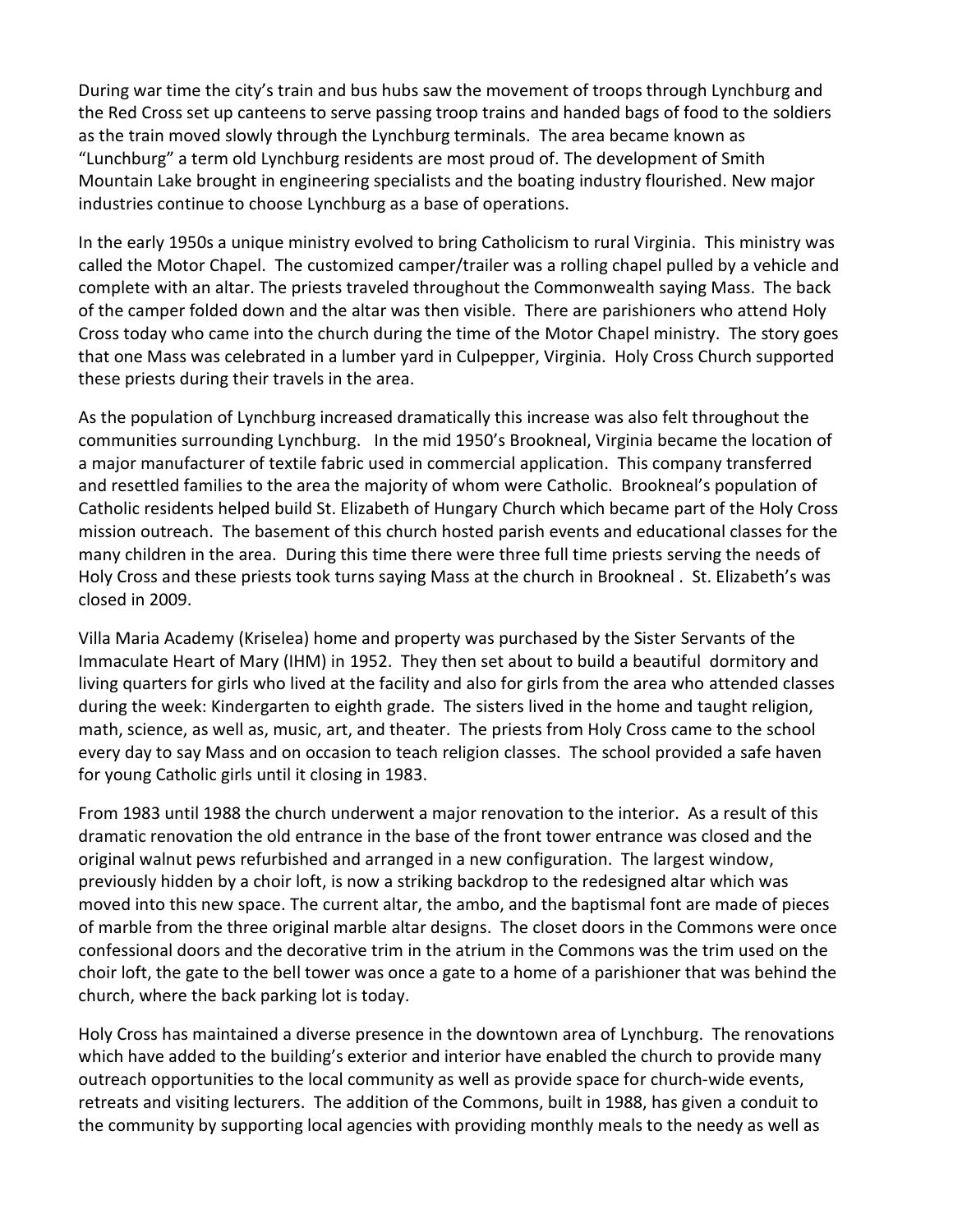During war time the city's train and bus hubs saw the movement of troops through Lynchburg and the Red Cross set up canteens to serve passing troop trains and handed bags of food to the soldiers as the train moved slowly through the Lynchburg terminals. The area became known as "Lunchburg" a term old Lynchburg residents are most proud of. The development of Smith Mountain Lake brought in engineering specialists and the boating industry flourished. New major industries continue to choose Lynchburg as a base of operations.

In the early 1950s a unique ministry evolved to bring Catholicism to rural Virginia. This ministry was called the Motor Chapel. The customized camper/trailer was a rolling chapel pulled by a vehicle and complete with an altar. The priests traveled throughout the Commonwealth saying Mass. The back of the camper folded down and the altar was then visible. There are parishioners who attend Holy Cross today who came into the church during the time of the Motor Chapel ministry. The story goes that one Mass was celebrated in a lumber yard in Culpepper, Virginia. Holy Cross Church supported these priests during their travels in the area.

As the population of Lynchburg increased dramatically this increase was also felt throughout the communities surrounding Lynchburg. In the mid 1950's Brookneal, Virginia became the location of a major manufacturer of textile fabric used in commercial application. This company transferred and resettled families to the area the majority of whom were Catholic. Brookneal's population of Catholic residents helped build St. Elizabeth of Hungary Church which became part of the Holy Cross mission outreach. The basement of this church hosted parish events and educational classes for the many children in the area. During this time there were three full time priests serving the needs of Holy Cross and these priests took turns saying Mass at the church in Brookneal . St. Elizabeth's was closed in 2009.

Villa Maria Academy (Kriselea) home and property was purchased by the Sister Servants of the Immaculate Heart of Mary (IHM) in 1952. They then set about to build a beautiful dormitory and living quarters for girls who lived at the facility and also for girls from the area who attended classes during the week: Kindergarten to eighth grade. The sisters lived in the home and taught religion, math, science, as well as, music, art, and theater. The priests from Holy Cross came to the school every day to say Mass and on occasion to teach religion classes. The school provided a safe haven for young Catholic girls until it closing in 1983.

From 1983 until 1988 the church underwent a major renovation to the interior. As a result of this dramatic renovation the old entrance in the base of the front tower entrance was closed and the original walnut pews refurbished and arranged in a new configuration. The largest window, previously hidden by a choir loft, is now a striking backdrop to the redesigned altar which was moved into this new space. The current altar, the ambo, and the baptismal font are made of pieces of marble from the three original marble altar designs. The closet doors in the Commons were once confessional doors and the decorative trim in the atrium in the Commons was the trim used on the choir loft, the gate to the bell tower was once a gate to a home of a parishioner that was behind the church, where the back parking lot is today.

Holy Cross has maintained a diverse presence in the downtown area of Lynchburg. The renovations which have added to the building's exterior and interior have enabled the church to provide many outreach opportunities to the local community as well as provide space for church-wide events, retreats and visiting lecturers. The addition of the Commons, built in 1988, has given a conduit to the community by supporting local agencies with providing monthly meals to the needy as well as